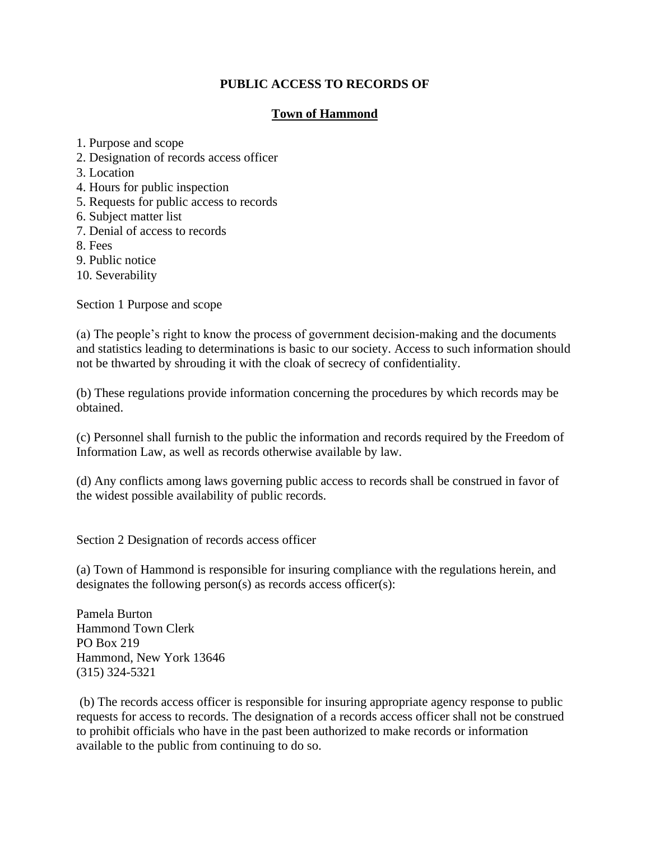## **PUBLIC ACCESS TO RECORDS OF**

## **Town of Hammond**

- 1. Purpose and scope
- 2. Designation of records access officer
- 3. Location
- 4. Hours for public inspection
- 5. Requests for public access to records
- 6. Subject matter list
- 7. Denial of access to records
- 8. Fees
- 9. Public notice
- 10. Severability

Section 1 Purpose and scope

(a) The people's right to know the process of government decision-making and the documents and statistics leading to determinations is basic to our society. Access to such information should not be thwarted by shrouding it with the cloak of secrecy of confidentiality.

(b) These regulations provide information concerning the procedures by which records may be obtained.

(c) Personnel shall furnish to the public the information and records required by the Freedom of Information Law, as well as records otherwise available by law.

(d) Any conflicts among laws governing public access to records shall be construed in favor of the widest possible availability of public records.

Section 2 Designation of records access officer

(a) Town of Hammond is responsible for insuring compliance with the regulations herein, and designates the following person(s) as records access officer(s):

Pamela Burton Hammond Town Clerk PO Box 219 Hammond, New York 13646 (315) 324-5321

(b) The records access officer is responsible for insuring appropriate agency response to public requests for access to records. The designation of a records access officer shall not be construed to prohibit officials who have in the past been authorized to make records or information available to the public from continuing to do so.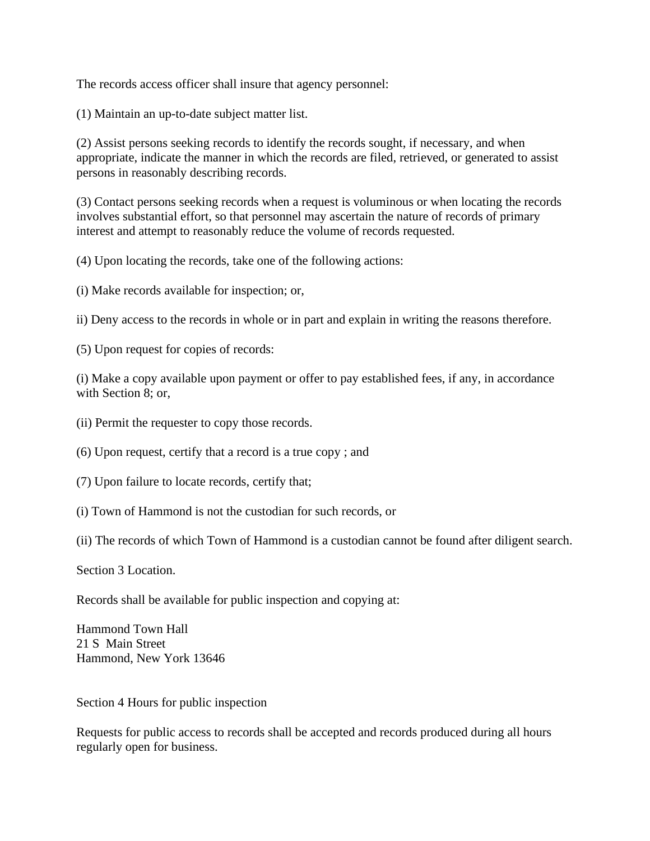The records access officer shall insure that agency personnel:

(1) Maintain an up-to-date subject matter list.

(2) Assist persons seeking records to identify the records sought, if necessary, and when appropriate, indicate the manner in which the records are filed, retrieved, or generated to assist persons in reasonably describing records.

(3) Contact persons seeking records when a request is voluminous or when locating the records involves substantial effort, so that personnel may ascertain the nature of records of primary interest and attempt to reasonably reduce the volume of records requested.

(4) Upon locating the records, take one of the following actions:

(i) Make records available for inspection; or,

ii) Deny access to the records in whole or in part and explain in writing the reasons therefore.

(5) Upon request for copies of records:

(i) Make a copy available upon payment or offer to pay established fees, if any, in accordance with Section 8: or,

(ii) Permit the requester to copy those records.

(6) Upon request, certify that a record is a true copy ; and

(7) Upon failure to locate records, certify that;

(i) Town of Hammond is not the custodian for such records, or

(ii) The records of which Town of Hammond is a custodian cannot be found after diligent search.

Section 3 Location.

Records shall be available for public inspection and copying at:

Hammond Town Hall 21 S Main Street Hammond, New York 13646

Section 4 Hours for public inspection

Requests for public access to records shall be accepted and records produced during all hours regularly open for business.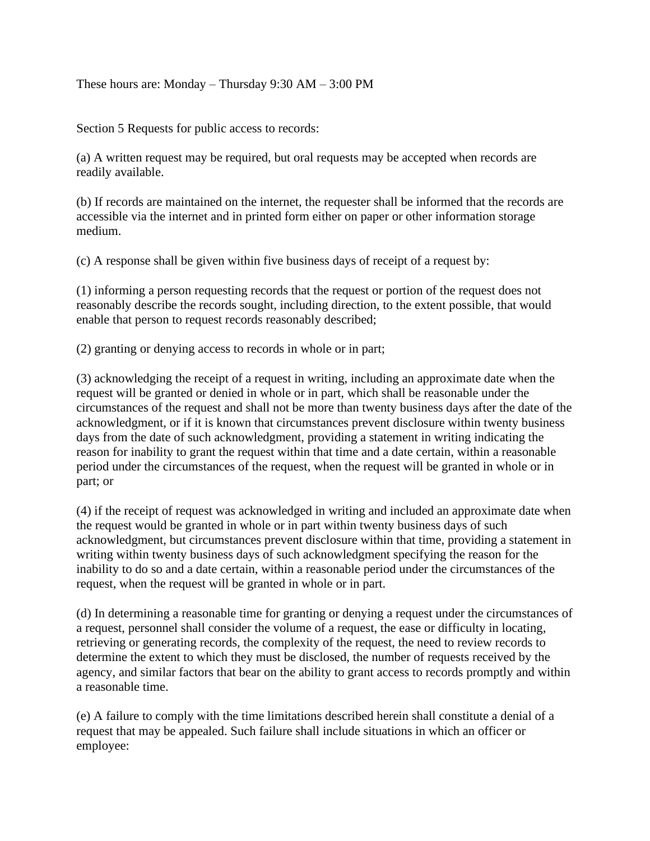These hours are: Monday – Thursday 9:30 AM – 3:00 PM

Section 5 Requests for public access to records:

(a) A written request may be required, but oral requests may be accepted when records are readily available.

(b) If records are maintained on the internet, the requester shall be informed that the records are accessible via the internet and in printed form either on paper or other information storage medium.

(c) A response shall be given within five business days of receipt of a request by:

(1) informing a person requesting records that the request or portion of the request does not reasonably describe the records sought, including direction, to the extent possible, that would enable that person to request records reasonably described;

(2) granting or denying access to records in whole or in part;

(3) acknowledging the receipt of a request in writing, including an approximate date when the request will be granted or denied in whole or in part, which shall be reasonable under the circumstances of the request and shall not be more than twenty business days after the date of the acknowledgment, or if it is known that circumstances prevent disclosure within twenty business days from the date of such acknowledgment, providing a statement in writing indicating the reason for inability to grant the request within that time and a date certain, within a reasonable period under the circumstances of the request, when the request will be granted in whole or in part; or

(4) if the receipt of request was acknowledged in writing and included an approximate date when the request would be granted in whole or in part within twenty business days of such acknowledgment, but circumstances prevent disclosure within that time, providing a statement in writing within twenty business days of such acknowledgment specifying the reason for the inability to do so and a date certain, within a reasonable period under the circumstances of the request, when the request will be granted in whole or in part.

(d) In determining a reasonable time for granting or denying a request under the circumstances of a request, personnel shall consider the volume of a request, the ease or difficulty in locating, retrieving or generating records, the complexity of the request, the need to review records to determine the extent to which they must be disclosed, the number of requests received by the agency, and similar factors that bear on the ability to grant access to records promptly and within a reasonable time.

(e) A failure to comply with the time limitations described herein shall constitute a denial of a request that may be appealed. Such failure shall include situations in which an officer or employee: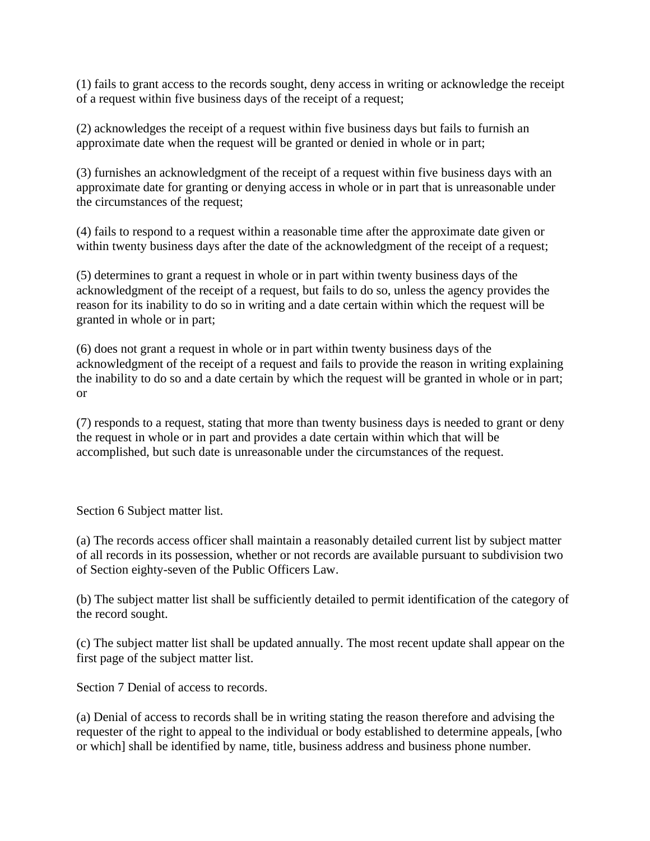(1) fails to grant access to the records sought, deny access in writing or acknowledge the receipt of a request within five business days of the receipt of a request;

(2) acknowledges the receipt of a request within five business days but fails to furnish an approximate date when the request will be granted or denied in whole or in part;

(3) furnishes an acknowledgment of the receipt of a request within five business days with an approximate date for granting or denying access in whole or in part that is unreasonable under the circumstances of the request;

(4) fails to respond to a request within a reasonable time after the approximate date given or within twenty business days after the date of the acknowledgment of the receipt of a request;

(5) determines to grant a request in whole or in part within twenty business days of the acknowledgment of the receipt of a request, but fails to do so, unless the agency provides the reason for its inability to do so in writing and a date certain within which the request will be granted in whole or in part;

(6) does not grant a request in whole or in part within twenty business days of the acknowledgment of the receipt of a request and fails to provide the reason in writing explaining the inability to do so and a date certain by which the request will be granted in whole or in part; or

(7) responds to a request, stating that more than twenty business days is needed to grant or deny the request in whole or in part and provides a date certain within which that will be accomplished, but such date is unreasonable under the circumstances of the request.

Section 6 Subject matter list.

(a) The records access officer shall maintain a reasonably detailed current list by subject matter of all records in its possession, whether or not records are available pursuant to subdivision two of Section eighty-seven of the Public Officers Law.

(b) The subject matter list shall be sufficiently detailed to permit identification of the category of the record sought.

(c) The subject matter list shall be updated annually. The most recent update shall appear on the first page of the subject matter list.

Section 7 Denial of access to records.

(a) Denial of access to records shall be in writing stating the reason therefore and advising the requester of the right to appeal to the individual or body established to determine appeals, [who or which] shall be identified by name, title, business address and business phone number.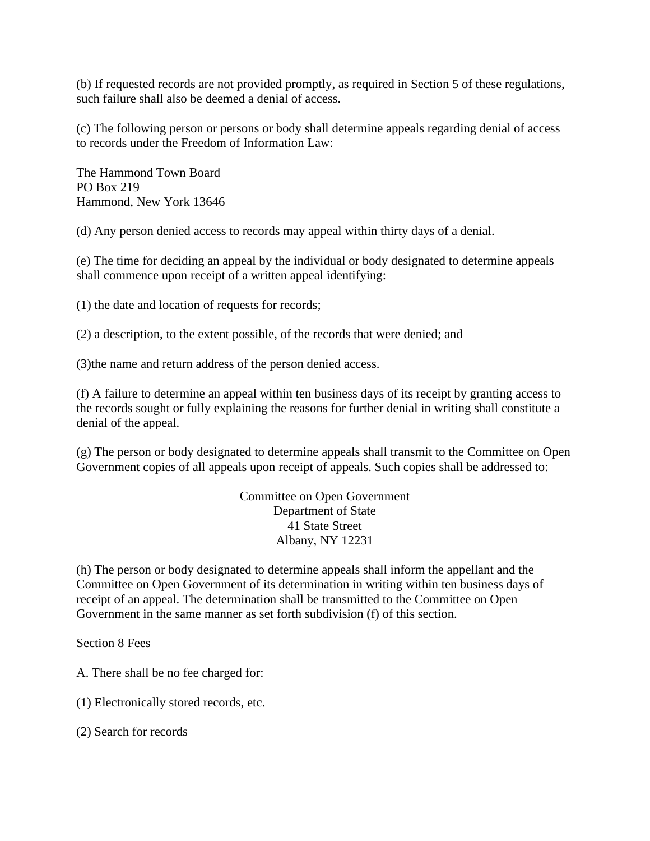(b) If requested records are not provided promptly, as required in Section 5 of these regulations, such failure shall also be deemed a denial of access.

(c) The following person or persons or body shall determine appeals regarding denial of access to records under the Freedom of Information Law:

The Hammond Town Board PO Box 219 Hammond, New York 13646

(d) Any person denied access to records may appeal within thirty days of a denial.

(e) The time for deciding an appeal by the individual or body designated to determine appeals shall commence upon receipt of a written appeal identifying:

(1) the date and location of requests for records;

(2) a description, to the extent possible, of the records that were denied; and

(3)the name and return address of the person denied access.

(f) A failure to determine an appeal within ten business days of its receipt by granting access to the records sought or fully explaining the reasons for further denial in writing shall constitute a denial of the appeal.

(g) The person or body designated to determine appeals shall transmit to the Committee on Open Government copies of all appeals upon receipt of appeals. Such copies shall be addressed to:

> Committee on Open Government Department of State 41 State Street Albany, NY 12231

(h) The person or body designated to determine appeals shall inform the appellant and the Committee on Open Government of its determination in writing within ten business days of receipt of an appeal. The determination shall be transmitted to the Committee on Open Government in the same manner as set forth subdivision (f) of this section.

Section 8 Fees

A. There shall be no fee charged for:

(1) Electronically stored records, etc.

(2) Search for records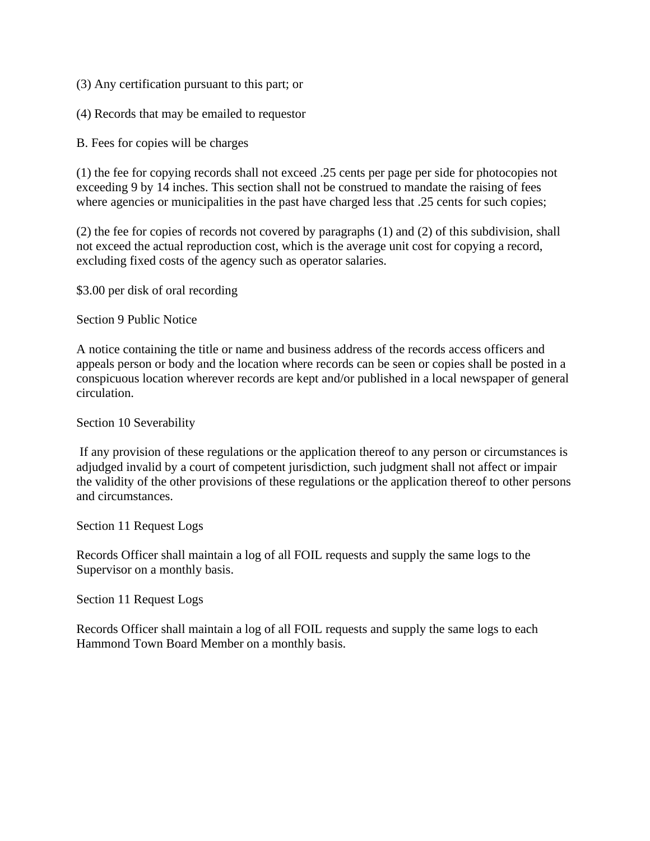- (3) Any certification pursuant to this part; or
- (4) Records that may be emailed to requestor
- B. Fees for copies will be charges

(1) the fee for copying records shall not exceed .25 cents per page per side for photocopies not exceeding 9 by 14 inches. This section shall not be construed to mandate the raising of fees where agencies or municipalities in the past have charged less that .25 cents for such copies;

(2) the fee for copies of records not covered by paragraphs (1) and (2) of this subdivision, shall not exceed the actual reproduction cost, which is the average unit cost for copying a record, excluding fixed costs of the agency such as operator salaries.

\$3.00 per disk of oral recording

Section 9 Public Notice

A notice containing the title or name and business address of the records access officers and appeals person or body and the location where records can be seen or copies shall be posted in a conspicuous location wherever records are kept and/or published in a local newspaper of general circulation.

## Section 10 Severability

If any provision of these regulations or the application thereof to any person or circumstances is adjudged invalid by a court of competent jurisdiction, such judgment shall not affect or impair the validity of the other provisions of these regulations or the application thereof to other persons and circumstances.

Section 11 Request Logs

Records Officer shall maintain a log of all FOIL requests and supply the same logs to the Supervisor on a monthly basis.

Section 11 Request Logs

Records Officer shall maintain a log of all FOIL requests and supply the same logs to each Hammond Town Board Member on a monthly basis.